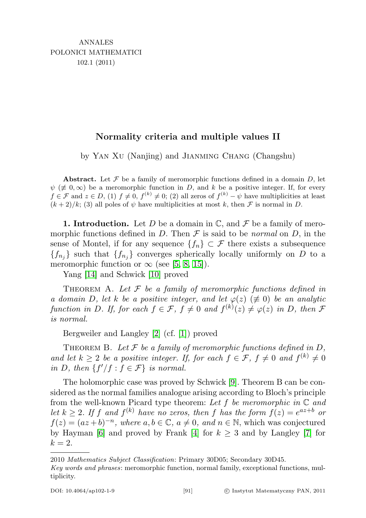## Normality criteria and multiple values II

by YAN XU (Nanjing) and JIANMING CHANG (Changshu)

Abstract. Let  $\mathcal F$  be a family of meromorphic functions defined in a domain D, let  $\psi$  ( $\neq$  0,  $\infty$ ) be a meromorphic function in D, and k be a positive integer. If, for every  $f \in \mathcal{F}$  and  $z \in D$ , (1)  $f \neq 0$ ,  $f^{(k)} \neq 0$ ; (2) all zeros of  $f^{(k)} - \psi$  have multiplicities at least  $(k+2)/k$ ; (3) all poles of  $\psi$  have multiplicities at most k, then F is normal in D.

**1. Introduction.** Let D be a domain in  $\mathbb{C}$ , and F be a family of meromorphic functions defined in D. Then  $\mathcal F$  is said to be *normal* on D, in the sense of Montel, if for any sequence  ${f_n} \subset \mathcal{F}$  there exists a subsequence  ${f_{n_j}}$  such that  ${f_{n_j}}$  converges spherically locally uniformly on D to a meromorphic function or  $\infty$  (see [\[5,](#page-7-0) [8,](#page-7-1) [15\]](#page-8-0)).

Yang [\[14\]](#page-8-1) and Schwick [\[10\]](#page-8-2) proved

THEOREM A. Let  $\mathcal F$  be a family of meromorphic functions defined in a domain D, let k be a positive integer, and let  $\varphi(z)$  ( $\neq$  0) be an analytic function in D. If, for each  $f \in \mathcal{F}$ ,  $f \neq 0$  and  $f^{(k)}(z) \neq \varphi(z)$  in D, then  $\mathcal F$ is normal.

Bergweiler and Langley [\[2\]](#page-7-2) (cf. [\[1\]](#page-7-3)) proved

THEOREM B. Let  $\mathcal F$  be a family of meromorphic functions defined in  $D$ , and let  $k \geq 2$  be a positive integer. If, for each  $f \in \mathcal{F}$ ,  $f \neq 0$  and  $f^{(k)} \neq 0$ in D, then  $\{f'/f : f \in \mathcal{F}\}\$ is normal.

The holomorphic case was proved by Schwick [\[9\]](#page-7-4). Theorem B can be considered as the normal families analogue arising according to Bloch's principle from the well-known Picard type theorem: Let f be meromorphic in  $\mathbb C$  and let  $k \geq 2$ . If f and  $f^{(k)}$  have no zeros, then f has the form  $f(z) = e^{az+b}$  or  $f(z) = (az + b)^{-n}$ , where  $a, b \in \mathbb{C}$ ,  $a \neq 0$ , and  $n \in \mathbb{N}$ , which was conjectured by Hayman [\[6\]](#page-7-5) and proved by Frank [\[4\]](#page-7-6) for  $k \geq 3$  and by Langley [\[7\]](#page-7-7) for  $k=2$ .

2010 Mathematics Subject Classification: Primary 30D05; Secondary 30D45.

Key words and phrases: meromorphic function, normal family, exceptional functions, multiplicity.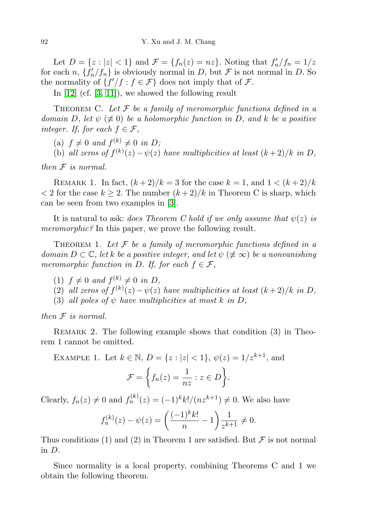Let  $D = \{z : |z| < 1\}$  and  $\mathcal{F} = \{f_n(z) = nz\}$ . Noting that  $f'_n/f_n = 1/z$ for each n,  $\{f'_n/f_n\}$  is obviously normal in D, but  $\mathcal F$  is not normal in D. So the normality of  $\{f'/f : f \in \mathcal{F}\}\)$  does not imply that of  $\mathcal{F}$ .

In [\[12\]](#page-8-3) (cf. [\[3,](#page-7-8) [11\]](#page-8-4)), we showed the following result

THEOREM C. Let  $\mathcal F$  be a family of meromorphic functions defined in a domain D, let  $\psi$  ( $\neq$  0) be a holomorphic function in D, and k be a positive integer. If, for each  $f \in \mathcal{F}$ ,

(a)  $f \neq 0$  and  $f^{(k)} \neq 0$  in D;

(b) all zeros of  $f^{(k)}(z) - \psi(z)$  have multiplicities at least  $(k+2)/k$  in D,

then  $F$  is normal.

REMARK 1. In fact,  $(k+2)/k = 3$  for the case  $k = 1$ , and  $1 < (k+2)/k$  $< 2$  for the case  $k \geq 2$ . The number  $(k+2)/k$  in Theorem C is sharp, which can be seen from two examples in [\[3\]](#page-7-8).

It is natural to ask: does Theorem C hold if we only assume that  $\psi(z)$  is meromorphic? In this paper, we prove the following result.

THEOREM 1. Let  $\mathcal F$  be a family of meromorphic functions defined in a domain  $D \subset \mathbb{C}$ , let k be a positive integer, and let  $\psi \neq \infty$ ) be a nonvanishing meromorphic function in D. If, for each  $f \in \mathcal{F}$ ,

- (1)  $f \neq 0$  and  $f^{(k)} \neq 0$  in D,
- (2) all zeros of  $f^{(k)}(z) \psi(z)$  have multiplicities at least  $(k+2)/k$  in D,
- (3) all poles of  $\psi$  have multiplicities at most k in D,

then  $F$  is normal.

REMARK 2. The following example shows that condition (3) in Theorem 1 cannot be omitted.

EXAMPLE 1. Let 
$$
k \in \mathbb{N}
$$
,  $D = \{z : |z| < 1\}$ ,  $\psi(z) = 1/z^{k+1}$ , and  

$$
\mathcal{F} = \left\{ f_n(z) = \frac{1}{nz} : z \in D \right\}.
$$

Clearly,  $f_n(z) \neq 0$  and  $f_n^{(k)}(z) = (-1)^k k! / (nz^{k+1}) \neq 0$ . We also have

$$
f_n^{(k)}(z) - \psi(z) = \left(\frac{(-1)^k k!}{n} - 1\right) \frac{1}{z^{k+1}} \neq 0.
$$

Thus conditions (1) and (2) in Theorem 1 are satisfied. But  $\mathcal F$  is not normal in D.

Since normality is a local property, combining Theorems C and 1 we obtain the following theorem.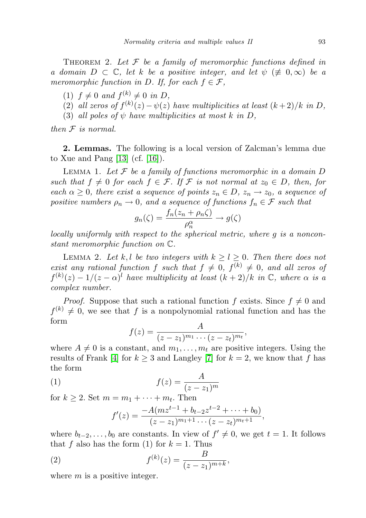THEOREM 2. Let  $\mathcal F$  be a family of meromorphic functions defined in a domain  $D \subset \mathbb{C}$ , let k be a positive integer, and let  $\psi \neq 0, \infty$  be a meromorphic function in D. If, for each  $f \in \mathcal{F}$ ,

- (1)  $f \neq 0$  and  $f^{(k)} \neq 0$  in D,
- (2) all zeros of  $f^{(k)}(z)-\psi(z)$  have multiplicities at least  $(k+2)/k$  in D,
- (3) all poles of  $\psi$  have multiplicities at most k in D,

then  $F$  is normal.

2. Lemmas. The following is a local version of Zalcman's lemma due to Xue and Pang  $[13]$  (cf.  $[16]$ ).

LEMMA 1. Let  $\mathcal F$  be a family of functions meromorphic in a domain  $D$ such that  $f \neq 0$  for each  $f \in \mathcal{F}$ . If  $\mathcal F$  is not normal at  $z_0 \in D$ , then, for each  $\alpha \geq 0$ , there exist a sequence of points  $z_n \in D$ ,  $z_n \to z_0$ , a sequence of positive numbers  $\rho_n \to 0$ , and a sequence of functions  $f_n \in \mathcal{F}$  such that

$$
g_n(\zeta) = \frac{f_n(z_n + \rho_n \zeta)}{\rho_n^{\alpha}} \to g(\zeta)
$$

locally uniformly with respect to the spherical metric, where g is a nonconstant meromorphic function on C.

LEMMA 2. Let k, l be two integers with  $k \geq l \geq 0$ . Then there does not exist any rational function f such that  $f \neq 0$ ,  $f^{(k)} \neq 0$ , and all zeros of  $f^{(k)}(z) - 1/(z - \alpha)^l$  have multiplicity at least  $(k + 2)/k$  in  $\mathbb{C}$ , where  $\alpha$  is a complex number.

*Proof.* Suppose that such a rational function f exists. Since  $f \neq 0$  and  $f^{(k)} \neq 0$ , we see that f is a nonpolynomial rational function and has the form

$$
f(z) = \frac{A}{(z - z_1)^{m_1} \cdots (z - z_t)^{m_t}},
$$

where  $A \neq 0$  is a constant, and  $m_1, \ldots, m_t$  are positive integers. Using the results of Frank [\[4\]](#page-7-6) for  $k \geq 3$  and Langley [\[7\]](#page-7-7) for  $k = 2$ , we know that f has the form

$$
(1) \t\t f(z) = \frac{A}{(z - z_1)^m}
$$

for  $k \geq 2$ . Set  $m = m_1 + \cdots + m_t$ . Then

$$
f'(z) = \frac{-A(mz^{t-1} + b_{t-2}z^{t-2} + \dots + b_0)}{(z-z_1)^{m_1+1}\dots(z-z_t)^{m_t+1}},
$$

where  $b_{t-2}, \ldots, b_0$  are constants. In view of  $f' \neq 0$ , we get  $t = 1$ . It follows that f also has the form (1) for  $k = 1$ . Thus

(2) 
$$
f^{(k)}(z) = \frac{B}{(z - z_1)^{m+k}},
$$

where  $m$  is a positive integer.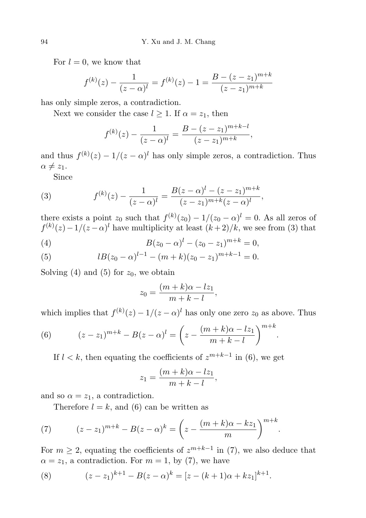For  $l = 0$ , we know that

$$
f^{(k)}(z) - \frac{1}{(z-\alpha)^l} = f^{(k)}(z) - 1 = \frac{B - (z - z_1)^{m+k}}{(z - z_1)^{m+k}}
$$

has only simple zeros, a contradiction.

Next we consider the case  $l \geq 1$ . If  $\alpha = z_1$ , then

$$
f^{(k)}(z) - \frac{1}{(z-\alpha)^l} = \frac{B - (z-z_1)^{m+k-l}}{(z-z_1)^{m+k}},
$$

and thus  $f^{(k)}(z) - 1/(z - \alpha)^l$  has only simple zeros, a contradiction. Thus  $\alpha \neq z_1$ .

Since

(3) 
$$
f^{(k)}(z) - \frac{1}{(z-\alpha)^l} = \frac{B(z-\alpha)^l - (z-z_1)^{m+k}}{(z-z_1)^{m+k}(z-\alpha)^l},
$$

there exists a point  $z_0$  such that  $f^{(k)}(z_0) - 1/(z_0 - \alpha)^l = 0$ . As all zeros of  $f^{(k)}(z) - 1/(z - \alpha)^l$  have multiplicity at least  $(k+2)/k$ , we see from (3) that

(4) 
$$
B(z_0 - \alpha)^l - (z_0 - z_1)^{m+k} = 0,
$$

(5) 
$$
lB(z_0 - \alpha)^{l-1} - (m+k)(z_0 - z_1)^{m+k-1} = 0.
$$

Solving (4) and (5) for  $z_0$ , we obtain

$$
z_0 = \frac{(m+k)\alpha - l z_1}{m+k-l},
$$

which implies that  $f^{(k)}(z) - 1/(z - \alpha)^l$  has only one zero  $z_0$  as above. Thus

.

(6) 
$$
(z-z_1)^{m+k} - B(z-\alpha)^l = \left(z - \frac{(m+k)\alpha - lz_1}{m+k-l}\right)^{m+k}
$$

If  $l < k$ , then equating the coefficients of  $z^{m+k-1}$  in (6), we get

$$
z_1 = \frac{(m+k)\alpha - l z_1}{m+k-l},
$$

and so  $\alpha = z_1$ , a contradiction.

Therefore  $l = k$ , and (6) can be written as

(7) 
$$
(z-z_1)^{m+k} - B(z-\alpha)^k = \left(z - \frac{(m+k)\alpha - kz_1}{m}\right)^{m+k}.
$$

For  $m \geq 2$ , equating the coefficients of  $z^{m+k-1}$  in (7), we also deduce that  $\alpha = z_1$ , a contradiction. For  $m = 1$ , by (7), we have

(8) 
$$
(z-z_1)^{k+1} - B(z-\alpha)^k = [z - (k+1)\alpha + kz_1]^{k+1}.
$$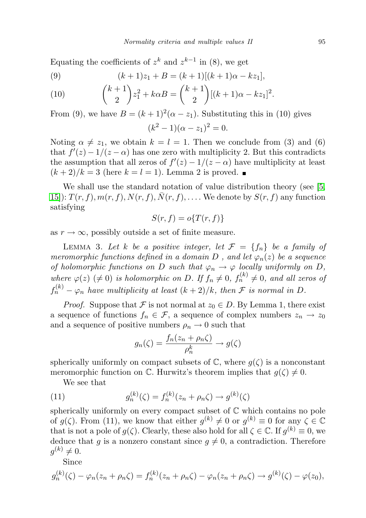Equating the coefficients of  $z^k$  and  $z^{k-1}$  in (8), we get

(9) 
$$
(k+1)z_1 + B = (k+1)[(k+1)\alpha - kz_1],
$$

(10) 
$$
{\binom{k+1}{2}} z_1^2 + k\alpha B = {\binom{k+1}{2}}[(k+1)\alpha - kz_1]^2.
$$

From (9), we have  $B = (k+1)^2(\alpha - z_1)$ . Substituting this in (10) gives  $(k^2 - 1)(\alpha - z_1)^2 = 0.$ 

Noting  $\alpha \neq z_1$ , we obtain  $k = l = 1$ . Then we conclude from (3) and (6) that  $f'(z) - 1/(z - \alpha)$  has one zero with multiplicity 2. But this contradicts the assumption that all zeros of  $f'(z) - 1/(z - \alpha)$  have multiplicity at least  $(k+2)/k = 3$  (here  $k = l = 1$ ). Lemma 2 is proved.

We shall use the standard notation of value distribution theory (see [\[5,](#page-7-0) [15\]](#page-8-0)):  $T(r, f), m(r, f), N(r, f), \overline{N}(r, f), \ldots$  We denote by  $S(r, f)$  any function satisfying

$$
S(r,f) = o\{T(r,f)\}\
$$

as  $r \to \infty$ , possibly outside a set of finite measure.

LEMMA 3. Let k be a positive integer, let  $\mathcal{F} = \{f_n\}$  be a family of meromorphic functions defined in a domain D, and let  $\varphi_n(z)$  be a sequence of holomorphic functions on D such that  $\varphi_n \to \varphi$  locally uniformly on D, where  $\varphi(z)$  ( $\neq 0$ ) is holomorphic on D. If  $f_n \neq 0$ ,  $f_n^{(k)} \neq 0$ , and all zeros of  $f_n^{(k)} - \varphi_n$  have multiplicity at least  $(k+2)/k$ , then  ${\mathcal F}$  is normal in  $D$ .

*Proof.* Suppose that F is not normal at  $z_0 \in D$ . By Lemma 1, there exist a sequence of functions  $f_n \in \mathcal{F}$ , a sequence of complex numbers  $z_n \to z_0$ and a sequence of positive numbers  $\rho_n \to 0$  such that

$$
g_n(\zeta) = \frac{f_n(z_n + \rho_n \zeta)}{\rho_n^k} \to g(\zeta)
$$

spherically uniformly on compact subsets of  $\mathbb{C}$ , where  $g(\zeta)$  is a nonconstant meromorphic function on  $\mathbb C$ . Hurwitz's theorem implies that  $q(\zeta) \neq 0$ .

We see that

(11) 
$$
g_n^{(k)}(\zeta) = f_n^{(k)}(z_n + \rho_n \zeta) \to g^{(k)}(\zeta)
$$

spherically uniformly on every compact subset of  $\mathbb C$  which contains no pole of  $g(\zeta)$ . From (11), we know that either  $g^{(k)} \neq 0$  or  $g^{(k)} \equiv 0$  for any  $\zeta \in \mathbb{C}$ that is not a pole of  $g(\zeta)$ . Clearly, these also hold for all  $\zeta \in \mathbb{C}$ . If  $g^{(k)} \equiv 0$ , we deduce that g is a nonzero constant since  $g \neq 0$ , a contradiction. Therefore  $g^{(k)} \neq 0.$ 

Since

$$
g_n^{(k)}(\zeta) - \varphi_n(z_n + \rho_n \zeta) = f_n^{(k)}(z_n + \rho_n \zeta) - \varphi_n(z_n + \rho_n \zeta) \to g^{(k)}(\zeta) - \varphi(z_0),
$$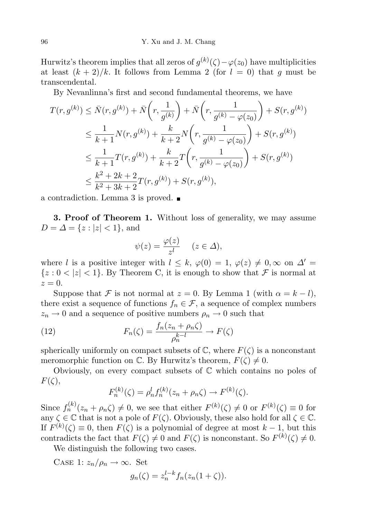Hurwitz's theorem implies that all zeros of  $g^{(k)}(\zeta) - \varphi(z_0)$  have multiplicities at least  $(k+2)/k$ . It follows from Lemma 2 (for  $l = 0$ ) that g must be transcendental.

By Nevanlinna's first and second fundamental theorems, we have

$$
T(r, g^{(k)}) \leq \bar{N}(r, g^{(k)}) + \bar{N}\left(r, \frac{1}{g^{(k)}}\right) + \bar{N}\left(r, \frac{1}{g^{(k)} - \varphi(z_0)}\right) + S(r, g^{(k)})
$$
  
\n
$$
\leq \frac{1}{k+1} N(r, g^{(k)}) + \frac{k}{k+2} N\left(r, \frac{1}{g^{(k)} - \varphi(z_0)}\right) + S(r, g^{(k)})
$$
  
\n
$$
\leq \frac{1}{k+1} T(r, g^{(k)}) + \frac{k}{k+2} T\left(r, \frac{1}{g^{(k)} - \varphi(z_0)}\right) + S(r, g^{(k)})
$$
  
\n
$$
\leq \frac{k^2 + 2k + 2}{k^2 + 3k + 2} T(r, g^{(k)}) + S(r, g^{(k)}),
$$

a contradiction. Lemma 3 is proved.

3. Proof of Theorem 1. Without loss of generality, we may assume  $D = \Delta = \{z : |z| < 1\}$ , and

$$
\psi(z) = \frac{\varphi(z)}{z^l} \quad (z \in \Delta),
$$

where l is a positive integer with  $l \leq k$ ,  $\varphi(0) = 1$ ,  $\varphi(z) \neq 0$ ,  $\infty$  on  $\Delta' =$  ${z : 0 < |z| < 1}$ . By Theorem C, it is enough to show that F is normal at  $z=0.$ 

Suppose that F is not normal at  $z = 0$ . By Lemma 1 (with  $\alpha = k - l$ ), there exist a sequence of functions  $f_n \in \mathcal{F}$ , a sequence of complex numbers  $z_n \to 0$  and a sequence of positive numbers  $\rho_n \to 0$  such that

(12) 
$$
F_n(\zeta) = \frac{f_n(z_n + \rho_n \zeta)}{\rho_n^{k-l}} \to F(\zeta)
$$

spherically uniformly on compact subsets of  $\mathbb{C}$ , where  $F(\zeta)$  is a nonconstant meromorphic function on  $\mathbb{C}$ . By Hurwitz's theorem,  $F(\zeta) \neq 0$ .

Obviously, on every compact subsets of C which contains no poles of  $F(\zeta),$ 

$$
F_n^{(k)}(\zeta) = \rho_n^l f_n^{(k)}(z_n + \rho_n \zeta) \to F^{(k)}(\zeta).
$$

Since  $f_n^{(k)}(z_n + \rho_n \zeta) \neq 0$ , we see that either  $F^{(k)}(\zeta) \neq 0$  or  $F^{(k)}(\zeta) \equiv 0$  for any  $\zeta \in \mathbb{C}$  that is not a pole of  $F(\zeta)$ . Obviously, these also hold for all  $\zeta \in \mathbb{C}$ . If  $F^{(k)}(\zeta) \equiv 0$ , then  $F(\zeta)$  is a polynomial of degree at most  $k-1$ , but this contradicts the fact that  $F(\zeta) \neq 0$  and  $F(\zeta)$  is nonconstant. So  $F^{(k)}(\zeta) \neq 0$ .

We distinguish the following two cases.

CASE 1:  $z_n/\rho_n \to \infty$ . Set  $g_n(\zeta) = z_n^{l-k} f_n(z_n(1+\zeta)).$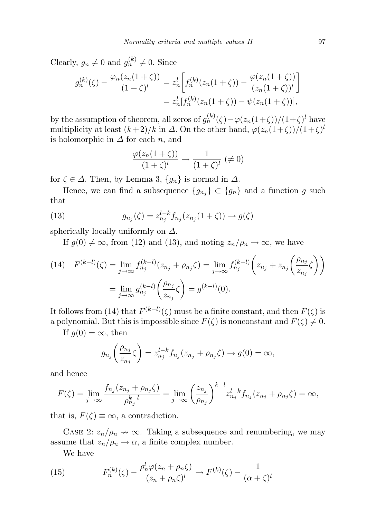Clearly,  $g_n \neq 0$  and  $g_n^{(k)} \neq 0$ . Since

$$
g_n^{(k)}(\zeta) - \frac{\varphi_n(z_n(1+\zeta))}{(1+\zeta)^l} = z_n^l \left[ f_n^{(k)}(z_n(1+\zeta)) - \frac{\varphi(z_n(1+\zeta))}{(z_n(1+\zeta))^l} \right]
$$
  
=  $z_n^l [f_n^{(k)}(z_n(1+\zeta)) - \psi(z_n(1+\zeta))],$ 

by the assumption of theorem, all zeros of  $g_n^{(k)}(\zeta) - \varphi(z_n(1+\zeta))/(1+\zeta)^l$  have multiplicity at least  $(k+2)/k$  in  $\Delta$ . On the other hand,  $\varphi(z_n(1+\zeta))/(1+\zeta)^l$ is holomorphic in  $\Delta$  for each n, and

$$
\frac{\varphi(z_n(1+\zeta))}{(1+\zeta)^l} \to \frac{1}{(1+\zeta)^l} \; (\neq 0)
$$

for  $\zeta \in \Delta$ . Then, by Lemma 3,  $\{g_n\}$  is normal in  $\Delta$ .

Hence, we can find a subsequence  ${g_{n_j}} \subset {g_n}$  and a function g such that

(13) 
$$
g_{n_j}(\zeta) = z_{n_j}^{l-k} f_{n_j}(z_{n_j}(1+\zeta)) \to g(\zeta)
$$

spherically locally uniformly on  $\Delta$ .

If  $g(0) \neq \infty$ , from (12) and (13), and noting  $z_n/\rho_n \to \infty$ , we have

(14) 
$$
F^{(k-l)}(\zeta) = \lim_{j \to \infty} f_{n_j}^{(k-l)}(z_{n_j} + \rho_{n_j} \zeta) = \lim_{j \to \infty} f_{n_j}^{(k-l)} \left( z_{n_j} + z_{n_j} \left( \frac{\rho_{n_j}}{z_{n_j}} \zeta \right) \right)
$$

$$
= \lim_{j \to \infty} g_{n_j}^{(k-l)} \left( \frac{\rho_{n_j}}{z_{n_j}} \zeta \right) = g^{(k-l)}(0).
$$

It follows from (14) that  $F^{(k-l)}(\zeta)$  must be a finite constant, and then  $F(\zeta)$  is a polynomial. But this is impossible since  $F(\zeta)$  is nonconstant and  $F(\zeta) \neq 0$ .

If  $g(0) = \infty$ , then

$$
g_{n_j}\left(\frac{\rho_{n_j}}{z_{n_j}}\zeta\right) = z_{n_j}^{l-k}f_{n_j}(z_{n_j} + \rho_{n_j}\zeta) \to g(0) = \infty,
$$

and hence

$$
F(\zeta) = \lim_{j \to \infty} \frac{f_{n_j}(z_{n_j} + \rho_{n_j} \zeta)}{\rho_{n_j}^{k-l}} = \lim_{j \to \infty} \left(\frac{z_{n_j}}{\rho_{n_j}}\right)^{k-l} z_{n_j}^{l-k} f_{n_j}(z_{n_j} + \rho_{n_j} \zeta) = \infty,
$$

that is,  $F(\zeta) \equiv \infty$ , a contradiction.

CASE 2:  $z_n/\rho_n \to \infty$ . Taking a subsequence and renumbering, we may assume that  $z_n/\rho_n \to \alpha$ , a finite complex number.

We have

(15) 
$$
F_n^{(k)}(\zeta) - \frac{\rho_n^l \varphi(z_n + \rho_n \zeta)}{(z_n + \rho_n \zeta)^l} \to F^{(k)}(\zeta) - \frac{1}{(\alpha + \zeta)^l}
$$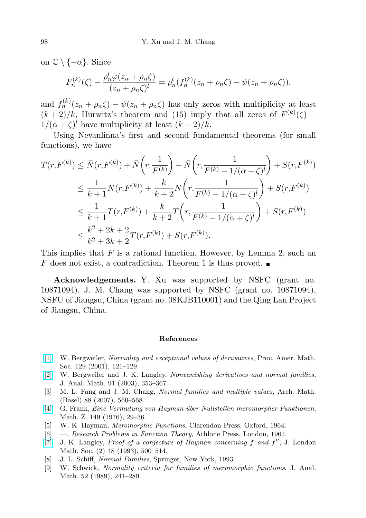on  $\mathbb{C} \setminus \{-\alpha\}$ . Since

$$
F_n^{(k)}(\zeta) - \frac{\rho_n^l \varphi(z_n + \rho_n \zeta)}{(z_n + \rho_n \zeta)^l} = \rho_n^l(f_n^{(k)}(z_n + \rho_n \zeta) - \psi(z_n + \rho_n \zeta)),
$$

and  $f_n^{(k)}(z_n + \rho_n \zeta) - \psi(z_n + \rho_n \zeta)$  has only zeros with multiplicity at least  $(k+2)/k$ , Hurwitz's theorem and (15) imply that all zeros of  $F^{(k)}(\zeta)$  –  $1/(\alpha + \zeta)^l$  have multiplicity at least  $(k+2)/k$ .

Using Nevanlinna's first and second fundamental theorems (for small functions), we have

$$
T(r, F^{(k)}) \leq \bar{N}(r, F^{(k)}) + \bar{N}\left(r, \frac{1}{F^{(k)}}\right) + \bar{N}\left(r, \frac{1}{F^{(k)} - 1/(\alpha + \zeta)^l}\right) + S(r, F^{(k)})
$$
  
\n
$$
\leq \frac{1}{k+1} N(r, F^{(k)}) + \frac{k}{k+2} N\left(r, \frac{1}{F^{(k)} - 1/(\alpha + \zeta)^l}\right) + S(r, F^{(k)})
$$
  
\n
$$
\leq \frac{1}{k+1} T(r, F^{(k)}) + \frac{k}{k+2} T\left(r, \frac{1}{F^{(k)} - 1/(\alpha + \zeta)^l}\right) + S(r, F^{(k)})
$$
  
\n
$$
\leq \frac{k^2 + 2k + 2}{k^2 + 3k + 2} T(r, F^{(k)}) + S(r, F^{(k)}).
$$

This implies that  $F$  is a rational function. However, by Lemma 2, such an F does not exist, a contradiction. Theorem 1 is thus proved.

Acknowledgements. Y. Xu was supported by NSFC (grant no. 10871094). J. M. Chang was supported by NSFC (grant no. 10871094), NSFU of Jiangsu, China (grant no. 08KJB110001) and the Qing Lan Project of Jiangsu, China.

## References

- <span id="page-7-3"></span>[\[1\]](http://dx.doi.org/10.1090/S0002-9939-00-05477-0) W. Bergweiler, Normality and exceptional values of derivatives, Proc. Amer. Math. Soc. 129 (2001), 121–129.
- <span id="page-7-2"></span>[\[2\]](http://dx.doi.org/10.1007/BF02788794) W. Bergweiler and J. K. Langley, Nonvanishing derivatives and normal families, J. Anal. Math. 91 (2003), 353–367.
- <span id="page-7-8"></span>[3] M. L. Fang and J. M. Chang, Normal families and multiple values, Arch. Math. (Basel) 88 (2007), 560–568.
- <span id="page-7-6"></span>[\[4\]](http://dx.doi.org/10.1007/BF01301627) G. Frank, Eine Vermutung von Hayman über Nullstellen meromorpher Funktionen, Math. Z. 149 (1976), 29–36.
- <span id="page-7-0"></span>[5] W. K. Hayman, Meromorphic Functions, Clarendon Press, Oxford, 1964.
- <span id="page-7-5"></span>[6] —, Research Problems in Function Theory, Athlone Press, London, 1967.
- <span id="page-7-7"></span>[\[7\]](http://dx.doi.org/10.1112/jlms/s2-48.3.500) J. K. Langley, Proof of a conjecture of Hayman concerning  $f$  and  $f''$ , J. London Math. Soc. (2) 48 (1993), 500–514.
- <span id="page-7-1"></span>[8] J. L. Schiff, Normal Families, Springer, New York, 1993.
- <span id="page-7-4"></span>[9] W. Schwick, Normality criteria for families of meromorphic functions, J. Anal. Math. 52 (1989), 241–289.